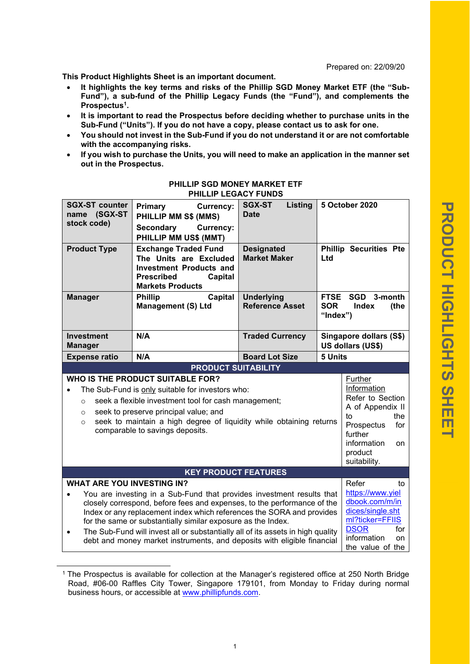Prepared on: 22/09/20

**This Product Highlights Sheet is an important document.**

- **It highlights the key terms and risks of the Phillip SGD Money Market ETF (the "Sub-Fund"), a sub-fund of the Phillip Legacy Funds (the "Fund"), and complements the Prospectus<sup>1</sup> .**
- **It is important to read the Prospectus before deciding whether to purchase units in the Sub-Fund ("Units"). If you do not have a copy, please contact us to ask for one.**
- **You should not invest in the Sub-Fund if you do not understand it or are not comfortable with the accompanying risks.**
- **If you wish to purchase the Units, you will need to make an application in the manner set out in the Prospectus.**

| <b>SGX-ST counter</b><br>name (SGX-ST<br>stock code)                                                                                                                                                                                                                                                                                                                                                                                                                                                                                                                                               | <b>Primary</b><br><b>Currency:</b><br>PHILLIP MM S\$ (MMS)<br><b>Secondary</b><br><b>Currency:</b><br>PHILLIP MM US\$ (MMT)                        | <b>SGX-ST</b><br>Listing<br><b>Date</b>     |                                                                | <b>5 October 2020</b>                                    |
|----------------------------------------------------------------------------------------------------------------------------------------------------------------------------------------------------------------------------------------------------------------------------------------------------------------------------------------------------------------------------------------------------------------------------------------------------------------------------------------------------------------------------------------------------------------------------------------------------|----------------------------------------------------------------------------------------------------------------------------------------------------|---------------------------------------------|----------------------------------------------------------------|----------------------------------------------------------|
| <b>Product Type</b>                                                                                                                                                                                                                                                                                                                                                                                                                                                                                                                                                                                | <b>Exchange Traded Fund</b><br>The Units are Excluded<br><b>Investment Products and</b><br><b>Prescribed</b><br>Capital<br><b>Markets Products</b> | <b>Designated</b><br><b>Market Maker</b>    | Ltd                                                            | <b>Phillip Securities Pte</b>                            |
| <b>Manager</b>                                                                                                                                                                                                                                                                                                                                                                                                                                                                                                                                                                                     | <b>Phillip</b><br>Capital<br><b>Management (S) Ltd</b>                                                                                             | <b>Underlying</b><br><b>Reference Asset</b> | <b>FTSE</b><br><b>SOR</b><br>"Index")                          | SGD 3-month<br>Index<br>(the                             |
| <b>Investment</b><br><b>Manager</b>                                                                                                                                                                                                                                                                                                                                                                                                                                                                                                                                                                | N/A                                                                                                                                                | <b>Traded Currency</b>                      |                                                                | Singapore dollars (S\$)<br>US dollars (US\$)             |
| <b>Expense ratio</b>                                                                                                                                                                                                                                                                                                                                                                                                                                                                                                                                                                               | N/A                                                                                                                                                | <b>Board Lot Size</b>                       | 5 Units                                                        |                                                          |
|                                                                                                                                                                                                                                                                                                                                                                                                                                                                                                                                                                                                    | <b>PRODUCT SUITABILITY</b>                                                                                                                         |                                             |                                                                |                                                          |
| WHO IS THE PRODUCT SUITABLE FOR?<br>Further<br>Information<br>The Sub-Fund is only suitable for investors who:<br>seek a flexible investment tool for cash management;<br>$\circ$<br>seek to preserve principal value; and<br>$\circ$<br>to<br>seek to maintain a high degree of liquidity while obtaining returns<br>$\circ$<br>Prospectus<br>comparable to savings deposits.<br>further<br>information<br>product<br>suitability.                                                                                                                                                                |                                                                                                                                                    |                                             |                                                                | Refer to Section<br>A of Appendix II<br>the<br>for<br>on |
| <b>KEY PRODUCT FEATURES</b>                                                                                                                                                                                                                                                                                                                                                                                                                                                                                                                                                                        |                                                                                                                                                    |                                             |                                                                |                                                          |
| <b>WHAT ARE YOU INVESTING IN?</b><br>https://www.yiel<br>You are investing in a Sub-Fund that provides investment results that<br>closely correspond, before fees and expenses, to the performance of the<br>dices/single.sht<br>Index or any replacement index which references the SORA and provides<br>ml?ticker=FFIIS<br>for the same or substantially similar exposure as the Index.<br><b>DSOR</b><br>The Sub-Fund will invest all or substantially all of its assets in high quality<br>$\bullet$<br>information<br>debt and money market instruments, and deposits with eligible financial |                                                                                                                                                    |                                             | Refer<br>to<br>dbook.com/m/in<br>for<br>on<br>the value of the |                                                          |

## **PHILLIP SGD MONEY MARKET ETF PHILLIP LEGACY FUNDS**

<sup>1</sup> The Prospectus is available for collection at the Manager's registered office at 250 North Bridge Road, #06-00 Raffles City Tower, Singapore 179101, from Monday to Friday during normal business hours, or accessible at www.phillipfunds.com.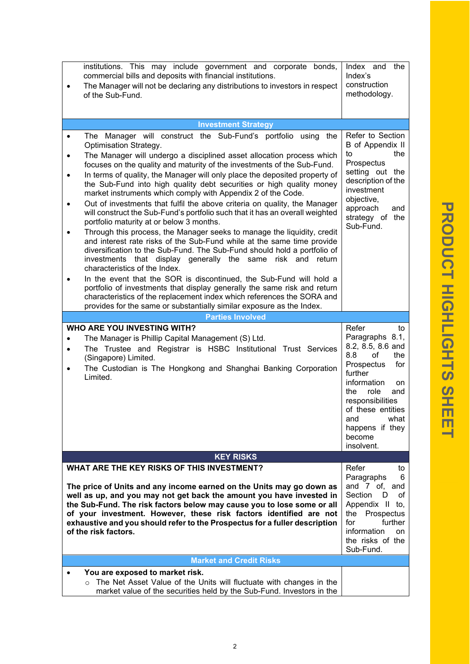|           | institutions. This may include government and corporate bonds,                                                                                                                                                                                                                                                                                                                                     | the                                                                                                                                                                         |
|-----------|----------------------------------------------------------------------------------------------------------------------------------------------------------------------------------------------------------------------------------------------------------------------------------------------------------------------------------------------------------------------------------------------------|-----------------------------------------------------------------------------------------------------------------------------------------------------------------------------|
|           | commercial bills and deposits with financial institutions.                                                                                                                                                                                                                                                                                                                                         | Index and<br>Index's<br>construction                                                                                                                                        |
|           | The Manager will not be declaring any distributions to investors in respect<br>of the Sub-Fund.                                                                                                                                                                                                                                                                                                    | methodology.                                                                                                                                                                |
|           |                                                                                                                                                                                                                                                                                                                                                                                                    |                                                                                                                                                                             |
|           | <b>Investment Strategy</b>                                                                                                                                                                                                                                                                                                                                                                         |                                                                                                                                                                             |
| $\bullet$ | The Manager will construct the Sub-Fund's portfolio using the<br>Optimisation Strategy.                                                                                                                                                                                                                                                                                                            | Refer to Section<br>B of Appendix II                                                                                                                                        |
| ٠         | The Manager will undergo a disciplined asset allocation process which                                                                                                                                                                                                                                                                                                                              | the<br>to<br>Prospectus                                                                                                                                                     |
| $\bullet$ | focuses on the quality and maturity of the investments of the Sub-Fund.<br>In terms of quality, the Manager will only place the deposited property of                                                                                                                                                                                                                                              | setting out the                                                                                                                                                             |
|           | the Sub-Fund into high quality debt securities or high quality money<br>market instruments which comply with Appendix 2 of the Code.                                                                                                                                                                                                                                                               | description of the<br>investment                                                                                                                                            |
| $\bullet$ | Out of investments that fulfil the above criteria on quality, the Manager<br>will construct the Sub-Fund's portfolio such that it has an overall weighted<br>portfolio maturity at or below 3 months.                                                                                                                                                                                              | objective,<br>approach<br>and<br>strategy of the                                                                                                                            |
| $\bullet$ | Through this process, the Manager seeks to manage the liquidity, credit<br>and interest rate risks of the Sub-Fund while at the same time provide<br>diversification to the Sub-Fund. The Sub-Fund should hold a portfolio of<br>investments that display generally the same risk and return<br>characteristics of the Index.                                                                      | Sub-Fund.                                                                                                                                                                   |
| ٠         | In the event that the SOR is discontinued, the Sub-Fund will hold a<br>portfolio of investments that display generally the same risk and return<br>characteristics of the replacement index which references the SORA and                                                                                                                                                                          |                                                                                                                                                                             |
|           | provides for the same or substantially similar exposure as the Index.                                                                                                                                                                                                                                                                                                                              |                                                                                                                                                                             |
|           | <b>Parties Involved</b>                                                                                                                                                                                                                                                                                                                                                                            |                                                                                                                                                                             |
|           |                                                                                                                                                                                                                                                                                                                                                                                                    |                                                                                                                                                                             |
|           | WHO ARE YOU INVESTING WITH?                                                                                                                                                                                                                                                                                                                                                                        | Refer<br>to                                                                                                                                                                 |
| ٠         | The Manager is Phillip Capital Management (S) Ltd.                                                                                                                                                                                                                                                                                                                                                 | Paragraphs 8.1,                                                                                                                                                             |
| $\bullet$ | The Trustee and Registrar is HSBC Institutional Trust Services                                                                                                                                                                                                                                                                                                                                     | 8.2, 8.5, 8.6 and<br>of<br>8.8<br>the                                                                                                                                       |
|           | (Singapore) Limited.<br>The Custodian is The Hongkong and Shanghai Banking Corporation<br>Limited.                                                                                                                                                                                                                                                                                                 | Prospectus<br>for<br>further<br>information<br>on.<br>the<br>role<br>and<br>responsibilities<br>of these entities<br>what<br>and<br>happens if they<br>become<br>insolvent. |
|           | <b>KEY RISKS</b>                                                                                                                                                                                                                                                                                                                                                                                   |                                                                                                                                                                             |
|           | WHAT ARE THE KEY RISKS OF THIS INVESTMENT?                                                                                                                                                                                                                                                                                                                                                         | Refer<br>to                                                                                                                                                                 |
|           | The price of Units and any income earned on the Units may go down as<br>well as up, and you may not get back the amount you have invested in<br>the Sub-Fund. The risk factors below may cause you to lose some or all<br>of your investment. However, these risk factors identified are not<br>exhaustive and you should refer to the Prospectus for a fuller description<br>of the risk factors. | Paragraphs<br>6<br>and 7 of, and<br>Section<br>D<br>οf<br>Appendix II to,<br>Prospectus<br>the<br>further<br>for<br>information<br>on<br>the risks of the<br>Sub-Fund.      |
|           | <b>Market and Credit Risks</b>                                                                                                                                                                                                                                                                                                                                                                     |                                                                                                                                                                             |
|           | You are exposed to market risk.                                                                                                                                                                                                                                                                                                                                                                    |                                                                                                                                                                             |

o The Net Asset Value of the Units will fluctuate with changes in the market value of the securities held by the Sub-Fund. Investors in the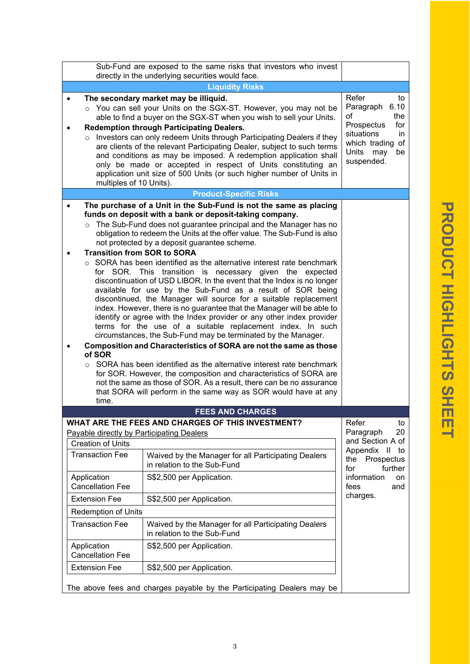| ■<br><b>Service Service</b><br><b>STATE</b>                                                                                                          |
|------------------------------------------------------------------------------------------------------------------------------------------------------|
| ı                                                                                                                                                    |
|                                                                                                                                                      |
|                                                                                                                                                      |
|                                                                                                                                                      |
|                                                                                                                                                      |
| <b>Service Service</b><br>í                                                                                                                          |
| D<br>▬                                                                                                                                               |
| ■                                                                                                                                                    |
| ı                                                                                                                                                    |
| <b>Contract Contract Contract Contract Contract Contract Contract Contract Contract Contract Contract Contract Co</b><br>١<br><b>Service Service</b> |
| ٢<br>ī<br>٦                                                                                                                                          |
| M.<br><b>Contract Contract Contract Contract Contract Contract Contract Contract Contract Contract Contract Contract C</b><br>Œ<br>o                 |
| ▅                                                                                                                                                    |
| <b>Service Service</b>                                                                                                                               |
| ٩<br>ı                                                                                                                                               |
| ı                                                                                                                                                    |
| ۱<br><b>Service Service</b><br>ĩ                                                                                                                     |
| I                                                                                                                                                    |
| <b>Service Service</b><br>ı                                                                                                                          |
| I<br>I                                                                                                                                               |
|                                                                                                                                                      |
|                                                                                                                                                      |
| <b>Service Service</b><br><b>First</b>                                                                                                               |
|                                                                                                                                                      |

|                                                                                                                                                                                                                                                                                                                                                                                                                                                                                                                                                                                                                                           | Sub-Fund are exposed to the same risks that investors who invest<br>directly in the underlying securities would face.                                                                                                                                                                                                                                                                                                                                                                                                                                                                                                                                                                                                                                                                                                                                                                                                                                                                                                                                                                                                                                                                                                                                                                                                            |                                                                                                                                                                |  |  |  |  |
|-------------------------------------------------------------------------------------------------------------------------------------------------------------------------------------------------------------------------------------------------------------------------------------------------------------------------------------------------------------------------------------------------------------------------------------------------------------------------------------------------------------------------------------------------------------------------------------------------------------------------------------------|----------------------------------------------------------------------------------------------------------------------------------------------------------------------------------------------------------------------------------------------------------------------------------------------------------------------------------------------------------------------------------------------------------------------------------------------------------------------------------------------------------------------------------------------------------------------------------------------------------------------------------------------------------------------------------------------------------------------------------------------------------------------------------------------------------------------------------------------------------------------------------------------------------------------------------------------------------------------------------------------------------------------------------------------------------------------------------------------------------------------------------------------------------------------------------------------------------------------------------------------------------------------------------------------------------------------------------|----------------------------------------------------------------------------------------------------------------------------------------------------------------|--|--|--|--|
|                                                                                                                                                                                                                                                                                                                                                                                                                                                                                                                                                                                                                                           |                                                                                                                                                                                                                                                                                                                                                                                                                                                                                                                                                                                                                                                                                                                                                                                                                                                                                                                                                                                                                                                                                                                                                                                                                                                                                                                                  |                                                                                                                                                                |  |  |  |  |
|                                                                                                                                                                                                                                                                                                                                                                                                                                                                                                                                                                                                                                           |                                                                                                                                                                                                                                                                                                                                                                                                                                                                                                                                                                                                                                                                                                                                                                                                                                                                                                                                                                                                                                                                                                                                                                                                                                                                                                                                  | <b>Liquidity Risks</b>                                                                                                                                         |  |  |  |  |
| The secondary market may be illiquid.<br>o You can sell your Units on the SGX-ST. However, you may not be<br>able to find a buyer on the SGX-ST when you wish to sell your Units.<br><b>Redemption through Participating Dealers.</b><br>$\circ$ Investors can only redeem Units through Participating Dealers if they<br>are clients of the relevant Participating Dealer, subject to such terms<br>and conditions as may be imposed. A redemption application shall<br>only be made or accepted in respect of Units constituting an<br>application unit size of 500 Units (or such higher number of Units in<br>multiples of 10 Units). |                                                                                                                                                                                                                                                                                                                                                                                                                                                                                                                                                                                                                                                                                                                                                                                                                                                                                                                                                                                                                                                                                                                                                                                                                                                                                                                                  | Refer<br>to<br>6.10<br>Paragraph<br>the<br>οf<br>Prospectus<br>for<br>situations<br>in<br>which trading of<br>Units may<br>be<br>suspended.                    |  |  |  |  |
|                                                                                                                                                                                                                                                                                                                                                                                                                                                                                                                                                                                                                                           | <b>Product-Specific Risks</b>                                                                                                                                                                                                                                                                                                                                                                                                                                                                                                                                                                                                                                                                                                                                                                                                                                                                                                                                                                                                                                                                                                                                                                                                                                                                                                    |                                                                                                                                                                |  |  |  |  |
| <b>Transition from SOR to SORA</b><br>of SOR<br>time.                                                                                                                                                                                                                                                                                                                                                                                                                                                                                                                                                                                     | The purchase of a Unit in the Sub-Fund is not the same as placing<br>funds on deposit with a bank or deposit-taking company.<br>The Sub-Fund does not guarantee principal and the Manager has no<br>obligation to redeem the Units at the offer value. The Sub-Fund is also<br>not protected by a deposit guarantee scheme.<br>SORA has been identified as the alternative interest rate benchmark<br>for SOR. This transition is necessary given the expected<br>discontinuation of USD LIBOR. In the event that the Index is no longer<br>available for use by the Sub-Fund as a result of SOR being<br>discontinued, the Manager will source for a suitable replacement<br>index. However, there is no guarantee that the Manager will be able to<br>identify or agree with the Index provider or any other index provider<br>terms for the use of a suitable replacement index. In such<br>circumstances, the Sub-Fund may be terminated by the Manager.<br>Composition and Characteristics of SORA are not the same as those<br>$\circ$ SORA has been identified as the alternative interest rate benchmark<br>for SOR. However, the composition and characteristics of SORA are<br>not the same as those of SOR. As a result, there can be no assurance<br>that SORA will perform in the same way as SOR would have at any |                                                                                                                                                                |  |  |  |  |
|                                                                                                                                                                                                                                                                                                                                                                                                                                                                                                                                                                                                                                           | <b>FEES AND CHARGES</b>                                                                                                                                                                                                                                                                                                                                                                                                                                                                                                                                                                                                                                                                                                                                                                                                                                                                                                                                                                                                                                                                                                                                                                                                                                                                                                          |                                                                                                                                                                |  |  |  |  |
| <b>Payable directly by Participating Dealers</b><br><b>Creation of Units</b><br><b>Transaction Fee</b><br>Application<br><b>Cancellation Fee</b><br><b>Extension Fee</b><br><b>Redemption of Units</b><br><b>Transaction Fee</b><br>Application<br><b>Cancellation Fee</b><br><b>Extension Fee</b>                                                                                                                                                                                                                                                                                                                                        | WHAT ARE THE FEES AND CHARGES OF THIS INVESTMENT?<br>Waived by the Manager for all Participating Dealers<br>in relation to the Sub-Fund<br>S\$2,500 per Application.<br>S\$2,500 per Application.<br>Waived by the Manager for all Participating Dealers<br>in relation to the Sub-Fund<br>S\$2,500 per Application.<br>S\$2,500 per Application.                                                                                                                                                                                                                                                                                                                                                                                                                                                                                                                                                                                                                                                                                                                                                                                                                                                                                                                                                                                | Refer<br>to<br>Paragraph<br>20<br>and Section A of<br>Appendix II<br>to<br>the<br>Prospectus<br>further<br>for<br>information<br>on<br>fees<br>and<br>charges. |  |  |  |  |
| The above fees and charges payable by the Participating Dealers may be                                                                                                                                                                                                                                                                                                                                                                                                                                                                                                                                                                    |                                                                                                                                                                                                                                                                                                                                                                                                                                                                                                                                                                                                                                                                                                                                                                                                                                                                                                                                                                                                                                                                                                                                                                                                                                                                                                                                  |                                                                                                                                                                |  |  |  |  |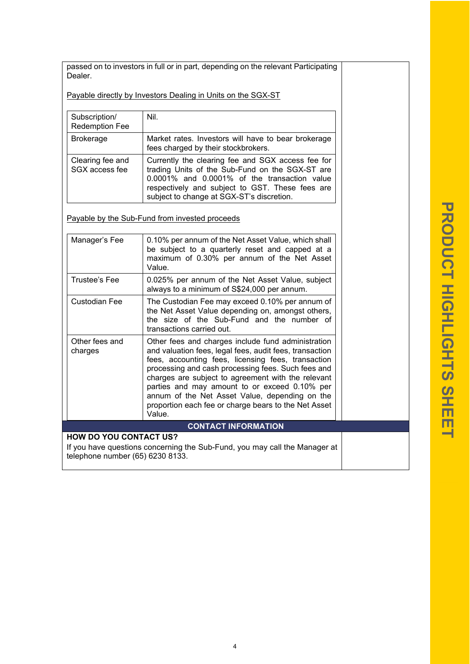passed on to investors in full or in part, depending on the relevant Participating Dealer.

Payable directly by Investors Dealing in Units on the SGX-ST

| Subscription/<br><b>Redemption Fee</b> | Nil.                                                                                                                                                                                                                                                 |
|----------------------------------------|------------------------------------------------------------------------------------------------------------------------------------------------------------------------------------------------------------------------------------------------------|
| <b>Brokerage</b>                       | Market rates. Investors will have to bear brokerage<br>fees charged by their stockbrokers.                                                                                                                                                           |
| Clearing fee and<br>SGX access fee     | Currently the clearing fee and SGX access fee for<br>trading Units of the Sub-Fund on the SGX-ST are<br>0.0001% and 0.0001% of the transaction value<br>respectively and subject to GST. These fees are<br>subject to change at SGX-ST's discretion. |

Payable by the Sub-Fund from invested proceeds

| Manager's Fee                                                              | 0.10% per annum of the Net Asset Value, which shall<br>be subject to a quarterly reset and capped at a<br>maximum of 0.30% per annum of the Net Asset<br>Value.                                                                                                                                                                                                                                                                                      |  |
|----------------------------------------------------------------------------|------------------------------------------------------------------------------------------------------------------------------------------------------------------------------------------------------------------------------------------------------------------------------------------------------------------------------------------------------------------------------------------------------------------------------------------------------|--|
| Trustee's Fee                                                              | 0.025% per annum of the Net Asset Value, subject<br>always to a minimum of S\$24,000 per annum.                                                                                                                                                                                                                                                                                                                                                      |  |
| Custodian Fee                                                              | The Custodian Fee may exceed 0.10% per annum of<br>the Net Asset Value depending on, amongst others,<br>the size of the Sub-Fund and the number of<br>transactions carried out.                                                                                                                                                                                                                                                                      |  |
| Other fees and<br>charges                                                  | Other fees and charges include fund administration<br>and valuation fees, legal fees, audit fees, transaction<br>fees, accounting fees, licensing fees, transaction<br>processing and cash processing fees. Such fees and<br>charges are subject to agreement with the relevant<br>parties and may amount to or exceed 0.10% per<br>annum of the Net Asset Value, depending on the<br>proportion each fee or charge bears to the Net Asset<br>Value. |  |
|                                                                            | <b>CONTACT INFORMATION</b>                                                                                                                                                                                                                                                                                                                                                                                                                           |  |
| <b>HOW DO YOU CONTACT US?</b>                                              |                                                                                                                                                                                                                                                                                                                                                                                                                                                      |  |
| If you have questions concerning the Sub-Fund, you may call the Manager at |                                                                                                                                                                                                                                                                                                                                                                                                                                                      |  |

telephone number (65) 6230 8133.